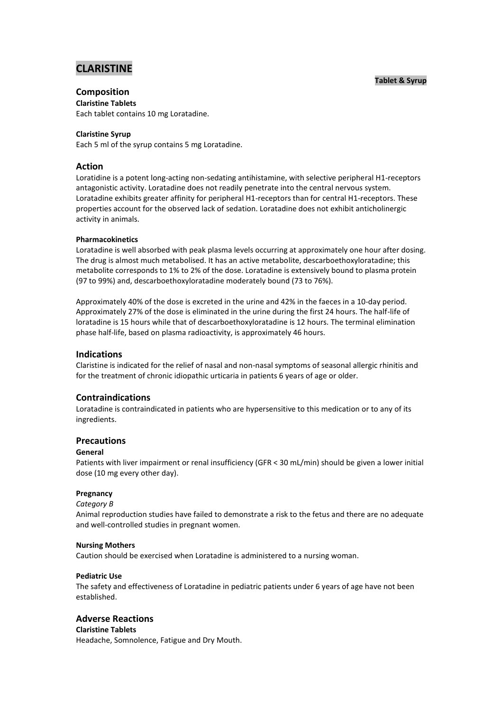# **CLARISTINE**

# **Tablet & Syrup**

# **Composition**

**Claristine Tablets** Each tablet contains 10 mg Loratadine.

# **Claristine Syrup**

Each 5 ml of the syrup contains 5 mg Loratadine.

# **Action**

Loratidine is a potent long-acting non-sedating antihistamine, with selective peripheral H1-receptors antagonistic activity. Loratadine does not readily penetrate into the central nervous system. Loratadine exhibits greater affinity for peripheral H1-receptors than for central H1-receptors. These properties account for the observed lack of sedation. Loratadine does not exhibit anticholinergic activity in animals.

# **Pharmacokinetics**

Loratadine is well absorbed with peak plasma levels occurring at approximately one hour after dosing. The drug is almost much metabolised. It has an active metabolite, descarboethoxyloratadine; this metabolite corresponds to 1% to 2% of the dose. Loratadine is extensively bound to plasma protein (97 to 99%) and, descarboethoxyloratadine moderately bound (73 to 76%).

Approximately 40% of the dose is excreted in the urine and 42% in the faeces in a 10-day period. Approximately 27% of the dose is eliminated in the urine during the first 24 hours. The half-life of loratadine is 15 hours while that of descarboethoxyloratadine is 12 hours. The terminal elimination phase half-life, based on plasma radioactivity, is approximately 46 hours.

# **Indications**

Claristine is indicated for the relief of nasal and non-nasal symptoms of seasonal allergic rhinitis and for the treatment of chronic idiopathic urticaria in patients 6 years of age or older.

# **Contraindications**

Loratadine is contraindicated in patients who are hypersensitive to this medication or to any of its ingredients.

# **Precautions**

## **General**

Patients with liver impairment or renal insufficiency (GFR < 30 mL/min) should be given a lower initial dose (10 mg every other day).

## **Pregnancy**

## *Category B*

Animal reproduction studies have failed to demonstrate a risk to the fetus and there are no adequate and well-controlled studies in pregnant women.

## **Nursing Mothers**

Caution should be exercised when Loratadine is administered to a nursing woman.

## **Pediatric Use**

The safety and effectiveness of Loratadine in pediatric patients under 6 years of age have not been established.

# **Adverse Reactions**

**Claristine Tablets** Headache, Somnolence, Fatigue and Dry Mouth.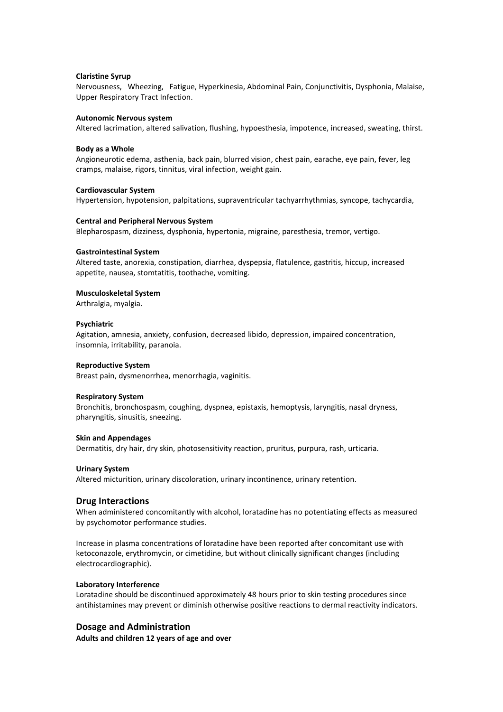#### **Claristine Syrup**

Nervousness, Wheezing, Fatigue, Hyperkinesia, Abdominal Pain, Conjunctivitis, Dysphonia, Malaise, Upper Respiratory Tract Infection.

#### **Autonomic Nervous system**

Altered lacrimation, altered salivation, flushing, hypoesthesia, impotence, increased, sweating, thirst.

#### **Body as a Whole**

Angioneurotic edema, asthenia, back pain, blurred vision, chest pain, earache, eye pain, fever, leg cramps, malaise, rigors, tinnitus, viral infection, weight gain.

#### **Cardiovascular System**

Hypertension, hypotension, palpitations, supraventricular tachyarrhythmias, syncope, tachycardia,

#### **Central and Peripheral Nervous System**

Blepharospasm, dizziness, dysphonia, hypertonia, migraine, paresthesia, tremor, vertigo.

#### **Gastrointestinal System**

Altered taste, anorexia, constipation, diarrhea, dyspepsia, flatulence, gastritis, hiccup, increased appetite, nausea, stomtatitis, toothache, vomiting.

#### **Musculoskeletal System**

Arthralgia, myalgia.

#### **Psychiatric**

Agitation, amnesia, anxiety, confusion, decreased libido, depression, impaired concentration, insomnia, irritability, paranoia.

#### **Reproductive System**

Breast pain, dysmenorrhea, menorrhagia, vaginitis.

#### **Respiratory System**

Bronchitis, bronchospasm, coughing, dyspnea, epistaxis, hemoptysis, laryngitis, nasal dryness, pharyngitis, sinusitis, sneezing.

#### **Skin and Appendages**

Dermatitis, dry hair, dry skin, photosensitivity reaction, pruritus, purpura, rash, urticaria.

#### **Urinary System**

Altered micturition, urinary discoloration, urinary incontinence, urinary retention.

#### **Drug Interactions**

When administered concomitantly with alcohol, loratadine has no potentiating effects as measured by psychomotor performance studies.

Increase in plasma concentrations of loratadine have been reported after concomitant use with ketoconazole, erythromycin, or cimetidine, but without clinically significant changes (including electrocardiographic).

#### **Laboratory Interference**

Loratadine should be discontinued approximately 48 hours prior to skin testing procedures since antihistamines may prevent or diminish otherwise positive reactions to dermal reactivity indicators.

# **Dosage and Administration**

**Adults and children 12 years of age and over**